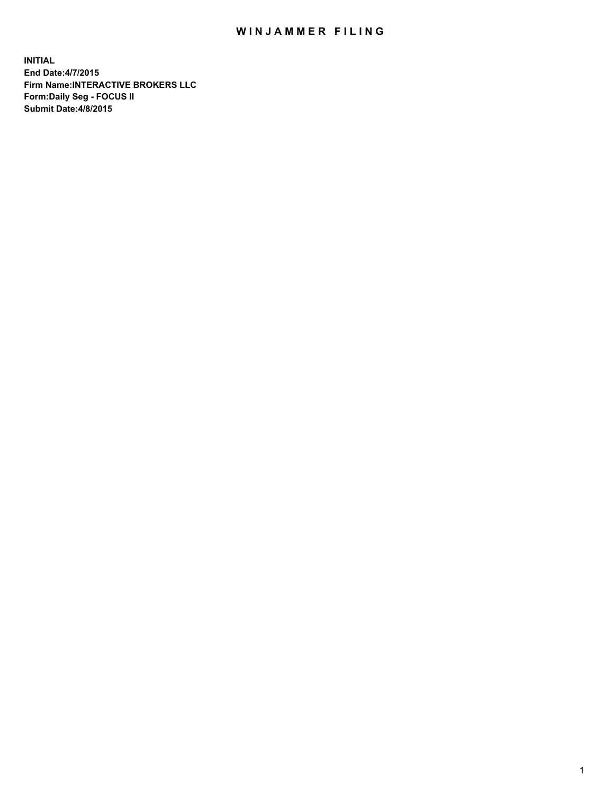## WIN JAMMER FILING

**INITIAL End Date:4/7/2015 Firm Name:INTERACTIVE BROKERS LLC Form:Daily Seg - FOCUS II Submit Date:4/8/2015**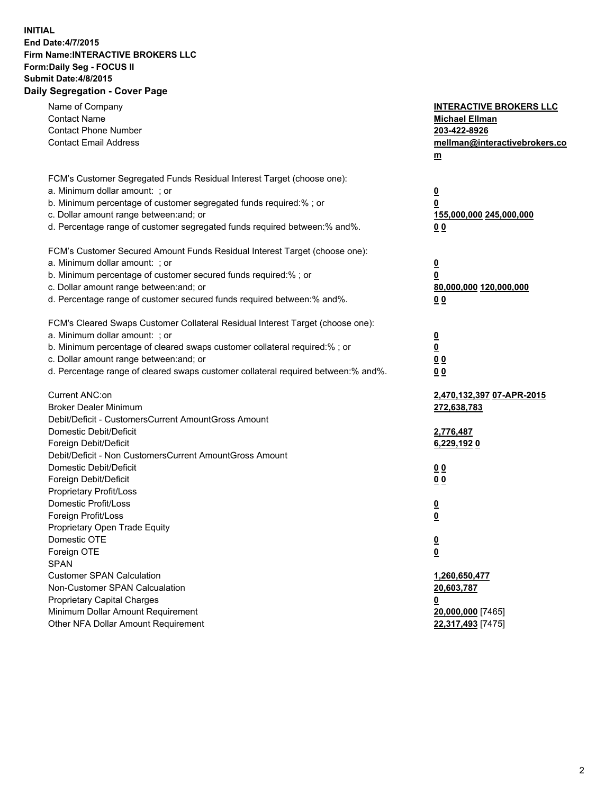## **INITIAL End Date:4/7/2015 Firm Name:INTERACTIVE BROKERS LLC Form:Daily Seg - FOCUS II Submit Date:4/8/2015 Daily Segregation - Cover Page**

| Name of Company                                                                   | <b>INTERACTIVE BROKERS LLC</b>                     |
|-----------------------------------------------------------------------------------|----------------------------------------------------|
| <b>Contact Name</b>                                                               | <b>Michael Ellman</b>                              |
| <b>Contact Phone Number</b>                                                       | 203-422-8926                                       |
| <b>Contact Email Address</b>                                                      | mellman@interactivebrokers.co                      |
|                                                                                   | $\underline{\mathbf{m}}$                           |
| FCM's Customer Segregated Funds Residual Interest Target (choose one):            |                                                    |
| a. Minimum dollar amount: ; or                                                    | $\overline{\mathbf{0}}$                            |
| b. Minimum percentage of customer segregated funds required:% ; or                | 0                                                  |
| c. Dollar amount range between: and; or                                           | 155,000,000 245,000,000                            |
| d. Percentage range of customer segregated funds required between:% and%.         | 00                                                 |
| FCM's Customer Secured Amount Funds Residual Interest Target (choose one):        |                                                    |
| a. Minimum dollar amount: ; or                                                    | $\overline{\mathbf{0}}$                            |
| b. Minimum percentage of customer secured funds required:% ; or                   | 0                                                  |
| c. Dollar amount range between: and; or                                           | 80,000,000 120,000,000                             |
| d. Percentage range of customer secured funds required between:% and%.            | 00                                                 |
| FCM's Cleared Swaps Customer Collateral Residual Interest Target (choose one):    |                                                    |
| a. Minimum dollar amount: ; or                                                    |                                                    |
| b. Minimum percentage of cleared swaps customer collateral required:% ; or        | $\overline{\mathbf{0}}$<br>$\overline{\mathbf{0}}$ |
| c. Dollar amount range between: and; or                                           | 0 <sub>0</sub>                                     |
| d. Percentage range of cleared swaps customer collateral required between:% and%. | 0 <sub>0</sub>                                     |
|                                                                                   |                                                    |
| Current ANC:on                                                                    | 2,470,132,397 07-APR-2015                          |
| <b>Broker Dealer Minimum</b>                                                      | 272,638,783                                        |
| Debit/Deficit - CustomersCurrent AmountGross Amount                               |                                                    |
| Domestic Debit/Deficit                                                            | 2,776,487                                          |
| Foreign Debit/Deficit                                                             | 6,229,1920                                         |
| Debit/Deficit - Non CustomersCurrent AmountGross Amount                           |                                                    |
| Domestic Debit/Deficit                                                            | 0 <sub>0</sub>                                     |
| Foreign Debit/Deficit                                                             | 0 <sub>0</sub>                                     |
| Proprietary Profit/Loss                                                           |                                                    |
| Domestic Profit/Loss                                                              | $\overline{\mathbf{0}}$                            |
| Foreign Profit/Loss                                                               | $\underline{\mathbf{0}}$                           |
| Proprietary Open Trade Equity                                                     |                                                    |
| Domestic OTE                                                                      | <u>0</u>                                           |
| Foreign OTE                                                                       | <u>0</u>                                           |
| <b>SPAN</b>                                                                       |                                                    |
| <b>Customer SPAN Calculation</b>                                                  | 1,260,650,477                                      |
| Non-Customer SPAN Calcualation                                                    | 20,603,787                                         |
| <b>Proprietary Capital Charges</b>                                                | <u>0</u>                                           |
| Minimum Dollar Amount Requirement                                                 | 20,000,000 [7465]                                  |
| Other NFA Dollar Amount Requirement                                               | 22,317,493 [7475]                                  |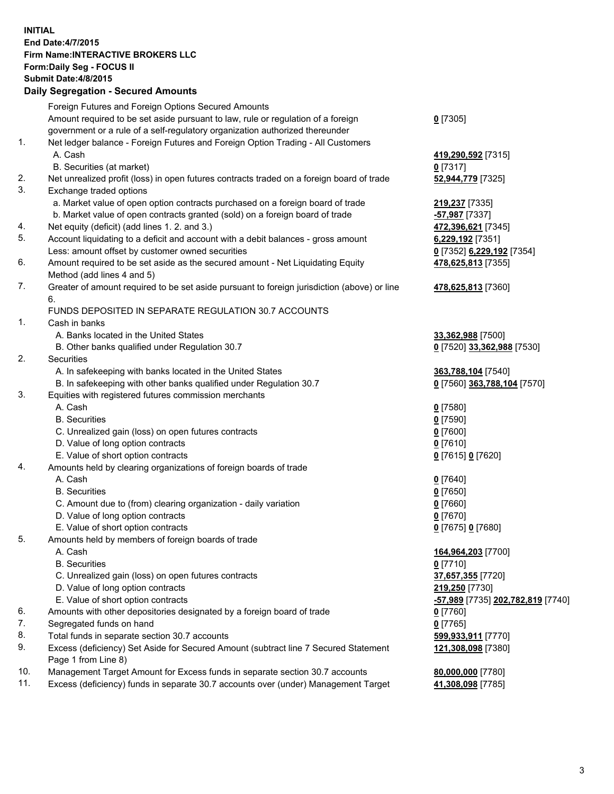## **INITIAL End Date:4/7/2015 Firm Name:INTERACTIVE BROKERS LLC Form:Daily Seg - FOCUS II Submit Date:4/8/2015 Daily Segregation - Secured Amounts**

|     | $-$ 0.000 $-$ 0.000 $-$ 0.000 $-$ 0.000 $-$ 0.000 $-$ 0.000 $-$ 0.000 $-$ 0.000 $-$ 0.000 $-$ 0.000 $-$ 0.000 $-$ 0.000 $-$ 0.000 $-$ 0.000 $-$ 0.000 $-$ 0.000 $-$ 0.000 $-$ 0.000 $-$ 0.000 $-$ 0.000 $-$ 0.000 $-$ 0.000 |                                                |
|-----|-----------------------------------------------------------------------------------------------------------------------------------------------------------------------------------------------------------------------------|------------------------------------------------|
|     | Foreign Futures and Foreign Options Secured Amounts                                                                                                                                                                         |                                                |
|     | Amount required to be set aside pursuant to law, rule or regulation of a foreign                                                                                                                                            | $0$ [7305]                                     |
|     | government or a rule of a self-regulatory organization authorized thereunder                                                                                                                                                |                                                |
| 1.  | Net ledger balance - Foreign Futures and Foreign Option Trading - All Customers                                                                                                                                             |                                                |
|     | A. Cash                                                                                                                                                                                                                     | 419,290,592 [7315]                             |
|     | B. Securities (at market)                                                                                                                                                                                                   | $0$ [7317]                                     |
| 2.  | Net unrealized profit (loss) in open futures contracts traded on a foreign board of trade                                                                                                                                   | 52,944,779 [7325]                              |
| 3.  | Exchange traded options                                                                                                                                                                                                     |                                                |
|     | a. Market value of open option contracts purchased on a foreign board of trade                                                                                                                                              | 219,237 [7335]                                 |
|     | b. Market value of open contracts granted (sold) on a foreign board of trade                                                                                                                                                | -57,987 [7337]                                 |
| 4.  | Net equity (deficit) (add lines 1.2. and 3.)                                                                                                                                                                                | 472,396,621 [7345]                             |
| 5.  | Account liquidating to a deficit and account with a debit balances - gross amount                                                                                                                                           | 6,229,192 [7351]                               |
|     | Less: amount offset by customer owned securities                                                                                                                                                                            | 0 [7352] 6,229,192 [7354]                      |
| 6.  | Amount required to be set aside as the secured amount - Net Liquidating Equity                                                                                                                                              | 478,625,813 [7355]                             |
|     | Method (add lines 4 and 5)                                                                                                                                                                                                  |                                                |
| 7.  | Greater of amount required to be set aside pursuant to foreign jurisdiction (above) or line                                                                                                                                 | 478,625,813 [7360]                             |
|     | 6.                                                                                                                                                                                                                          |                                                |
|     | FUNDS DEPOSITED IN SEPARATE REGULATION 30.7 ACCOUNTS                                                                                                                                                                        |                                                |
| 1.  | Cash in banks                                                                                                                                                                                                               |                                                |
|     | A. Banks located in the United States                                                                                                                                                                                       | 33,362,988 [7500]                              |
|     | B. Other banks qualified under Regulation 30.7                                                                                                                                                                              | 0 [7520] 33,362,988 [7530]                     |
| 2.  | Securities                                                                                                                                                                                                                  |                                                |
|     | A. In safekeeping with banks located in the United States                                                                                                                                                                   | 363,788,104 [7540]                             |
|     | B. In safekeeping with other banks qualified under Regulation 30.7                                                                                                                                                          | 0 [7560] 363,788,104 [7570]                    |
| 3.  | Equities with registered futures commission merchants                                                                                                                                                                       |                                                |
|     | A. Cash                                                                                                                                                                                                                     | $0$ [7580]                                     |
|     | <b>B.</b> Securities                                                                                                                                                                                                        | $0$ [7590]                                     |
|     | C. Unrealized gain (loss) on open futures contracts                                                                                                                                                                         | $0$ [7600]                                     |
|     | D. Value of long option contracts                                                                                                                                                                                           | $0$ [7610]                                     |
|     | E. Value of short option contracts                                                                                                                                                                                          | 0 [7615] 0 [7620]                              |
| 4.  | Amounts held by clearing organizations of foreign boards of trade                                                                                                                                                           |                                                |
|     | A. Cash                                                                                                                                                                                                                     | $0$ [7640]                                     |
|     | <b>B.</b> Securities                                                                                                                                                                                                        | $0$ [7650]                                     |
|     | C. Amount due to (from) clearing organization - daily variation                                                                                                                                                             | $0$ [7660]                                     |
|     | D. Value of long option contracts                                                                                                                                                                                           | $0$ [7670]                                     |
|     | E. Value of short option contracts                                                                                                                                                                                          | 0 [7675] 0 [7680]                              |
| 5.  | Amounts held by members of foreign boards of trade                                                                                                                                                                          |                                                |
|     | A. Cash                                                                                                                                                                                                                     | 164,964,203 [7700]                             |
|     | <b>B.</b> Securities                                                                                                                                                                                                        | $0$ [7710]                                     |
|     | C. Unrealized gain (loss) on open futures contracts                                                                                                                                                                         | 37,657,355 [7720]                              |
|     | D. Value of long option contracts                                                                                                                                                                                           | 219,250 [7730]                                 |
|     | E. Value of short option contracts                                                                                                                                                                                          | <mark>-57,989</mark> [7735] 202,782,819 [7740] |
| 6.  | Amounts with other depositories designated by a foreign board of trade                                                                                                                                                      | $0$ [7760]                                     |
| 7.  | Segregated funds on hand                                                                                                                                                                                                    | $0$ [7765]                                     |
| 8.  | Total funds in separate section 30.7 accounts                                                                                                                                                                               | 599,933,911 [7770]                             |
| 9.  | Excess (deficiency) Set Aside for Secured Amount (subtract line 7 Secured Statement                                                                                                                                         | 121,308,098 [7380]                             |
| 10. | Page 1 from Line 8)                                                                                                                                                                                                         |                                                |
| 11. | Management Target Amount for Excess funds in separate section 30.7 accounts                                                                                                                                                 | 80,000,000 [7780]                              |
|     | Excess (deficiency) funds in separate 30.7 accounts over (under) Management Target                                                                                                                                          | 41,308,098 [7785]                              |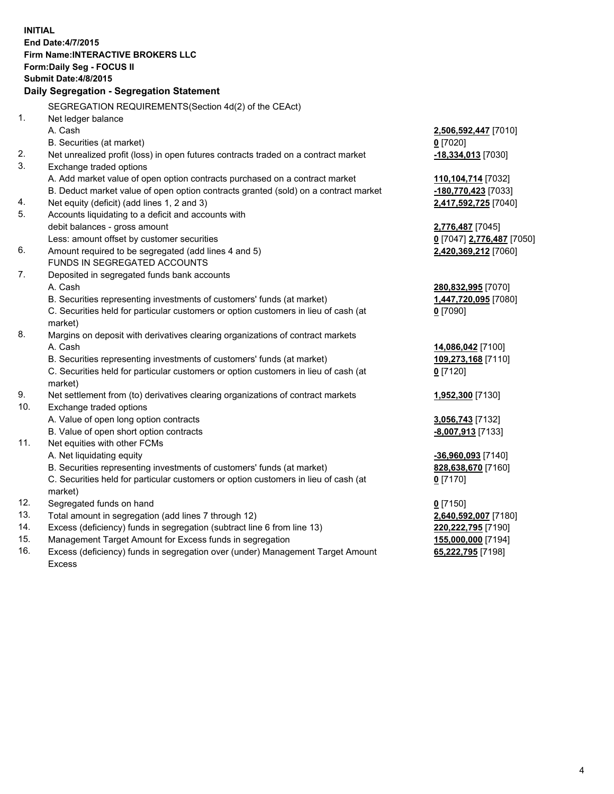**INITIAL End Date:4/7/2015 Firm Name:INTERACTIVE BROKERS LLC Form:Daily Seg - FOCUS II Submit Date:4/8/2015 Daily Segregation - Segregation Statement** SEGREGATION REQUIREMENTS(Section 4d(2) of the CEAct) 1. Net ledger balance A. Cash **2,506,592,447** [7010] B. Securities (at market) **0** [7020] 2. Net unrealized profit (loss) in open futures contracts traded on a contract market **-18,334,013** [7030] 3. Exchange traded options A. Add market value of open option contracts purchased on a contract market **110,104,714** [7032] B. Deduct market value of open option contracts granted (sold) on a contract market **-180,770,423** [7033] 4. Net equity (deficit) (add lines 1, 2 and 3) **2,417,592,725** [7040] 5. Accounts liquidating to a deficit and accounts with debit balances - gross amount **2,776,487** [7045] Less: amount offset by customer securities **0** [7047] **2,776,487** [7050] 6. Amount required to be segregated (add lines 4 and 5) **2,420,369,212** [7060] FUNDS IN SEGREGATED ACCOUNTS 7. Deposited in segregated funds bank accounts A. Cash **280,832,995** [7070] B. Securities representing investments of customers' funds (at market) **1,447,720,095** [7080] C. Securities held for particular customers or option customers in lieu of cash (at market) **0** [7090] 8. Margins on deposit with derivatives clearing organizations of contract markets A. Cash **14,086,042** [7100] B. Securities representing investments of customers' funds (at market) **109,273,168** [7110] C. Securities held for particular customers or option customers in lieu of cash (at market) **0** [7120] 9. Net settlement from (to) derivatives clearing organizations of contract markets **1,952,300** [7130] 10. Exchange traded options A. Value of open long option contracts **3,056,743** [7132] B. Value of open short option contracts **-8,007,913** [7133] 11. Net equities with other FCMs A. Net liquidating equity **-36,960,093** [7140] B. Securities representing investments of customers' funds (at market) **828,638,670** [7160] C. Securities held for particular customers or option customers in lieu of cash (at market) **0** [7170] 12. Segregated funds on hand **0** [7150] 13. Total amount in segregation (add lines 7 through 12) **2,640,592,007** [7180] 14. Excess (deficiency) funds in segregation (subtract line 6 from line 13) **220,222,795** [7190] 15. Management Target Amount for Excess funds in segregation **155,000,000** [7194]

16. Excess (deficiency) funds in segregation over (under) Management Target Amount Excess

**65,222,795** [7198]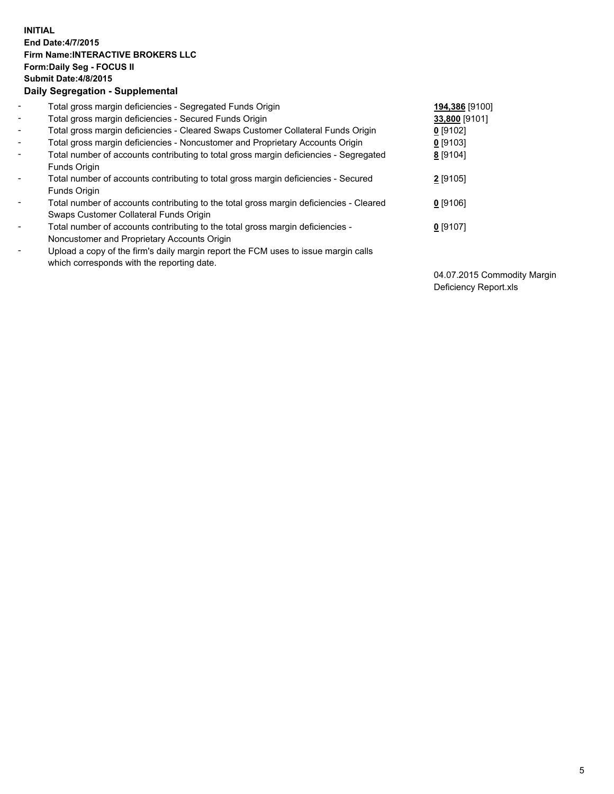## **INITIAL End Date:4/7/2015 Firm Name:INTERACTIVE BROKERS LLC Form:Daily Seg - FOCUS II Submit Date:4/8/2015 Daily Segregation - Supplemental**

| $\blacksquare$ | Total gross margin deficiencies - Segregated Funds Origin                                                                        | 194,386 [9100] |
|----------------|----------------------------------------------------------------------------------------------------------------------------------|----------------|
| $\sim$         | Total gross margin deficiencies - Secured Funds Origin                                                                           | 33,800 [9101]  |
| $\blacksquare$ | Total gross margin deficiencies - Cleared Swaps Customer Collateral Funds Origin                                                 | 0 [9102]       |
| $\blacksquare$ | Total gross margin deficiencies - Noncustomer and Proprietary Accounts Origin                                                    | $0$ [9103]     |
| $\blacksquare$ | Total number of accounts contributing to total gross margin deficiencies - Segregated<br>Funds Origin                            | 8 [9104]       |
| $\blacksquare$ | Total number of accounts contributing to total gross margin deficiencies - Secured<br>Funds Origin                               | 2 [9105]       |
| $\blacksquare$ | Total number of accounts contributing to the total gross margin deficiencies - Cleared<br>Swaps Customer Collateral Funds Origin | $0$ [9106]     |
| $\blacksquare$ | Total number of accounts contributing to the total gross margin deficiencies -<br>Noncustomer and Proprietary Accounts Origin    | $0$ [9107]     |
| Ξ.             | Upload a copy of the firm's daily margin report the FCM uses to issue margin calls<br>which corresponds with the reporting date. |                |

04.07.2015 Commodity Margin Deficiency Report.xls